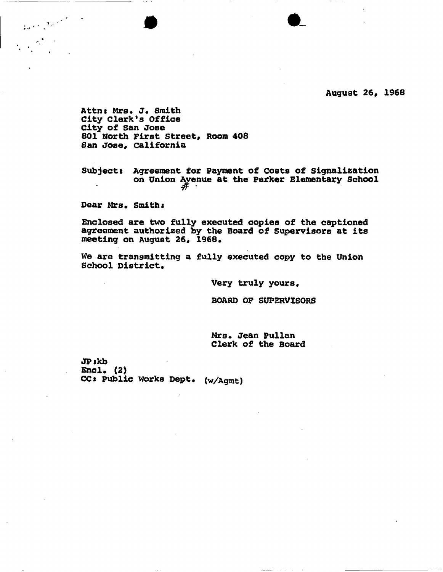Attn: Mrs. J. Smith **City Clerk's Office City of San Jose 801 North First Street, Room 408 San Jose, California** 

**Subjects Agreement for Payment of Costs of Signalization on Union Avenue at the Parker Elementary School** 

 $\bullet$   $\bullet$ 

Dear Mrs. Smith:

 $\int_{\mathbb{R}^{2d}}\left|\frac{1}{\lambda_{\mathcal{F}}}\right|^{2}dx\leq\frac{1}{\lambda_{\mathcal{F}}}\int_{\mathbb{R}^{2d}}\left|\frac{1}{\lambda_{\mathcal{F}}}\right|^{2}dx$ 

**Enclosed are two fully executed copies of the captioned agreement authorized by the Board of Supervisors at its meeting on August 26, 1968.** 

**We are transmitting a fully executed copy to the Union School District.** 

**Very truly yours,** 

**BOARD OF SUPERVISORS** 

**Mrs. Jean Pullan Clerk of the Board** 

**JPskb Encl. (2) CCs Public Works Dept. (w/Agmt)**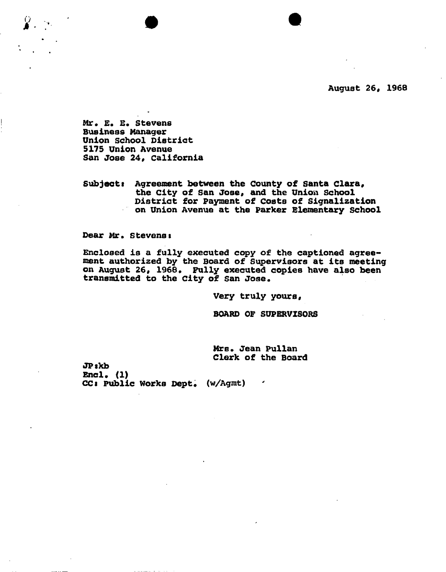**August 26, 1968** 

Mr. E. E. Stevens **Business Manager Union school District 5175 Union Avenue San Jose 24, California** 

**Subjects Agreement between the County of Santa Clara, the City of San Jose, and the Union school District for Payment of Costs of Signalization**   $\mathcal{L}^{(M)}$  . **on Union Avenue at the Parker Elementary School** 

Dear Mr. Stevens:

**Enclosed is a fully executed copy of the captioned agree-\* ment authorized by the Board of Supervisors at its meeting on August 26, 1968. Fully executed copies have also been transmitted to the City of San Jose.** 

**Very truly yours,** 

**BOARD OF SUPERVISORS** 

**Mrs\* Jean Pullan Clerk of the Board** 

**JPskb Encl.** (1) **CC: Public Works Dept. (w/Agmt)**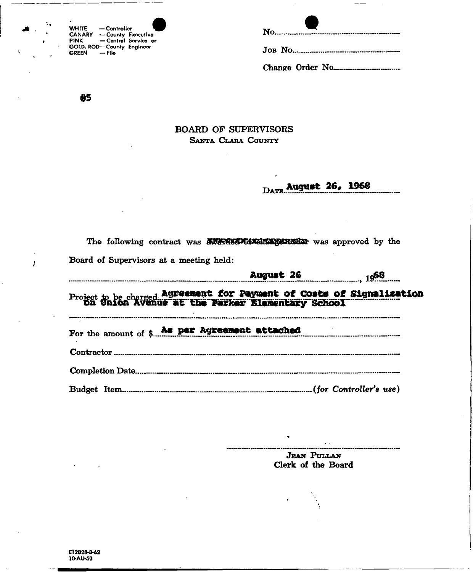| WHITE  | - Controller                     |                      |
|--------|----------------------------------|----------------------|
| CANARY | -County Executive                |                      |
| PINK   |                                  | - Central Service or |
|        | <b>GOLD. ROD-County Engineer</b> |                      |
| GREEN  | — File                           |                      |

| $\bullet$ |  |
|-----------|--|
|           |  |
|           |  |

85

 $\mathbf{I}$ 

## **BOARD OF SUPERVISORS** SANTA CLARA COUNTY

DATE August 26, 1968

| <b>August 26</b><br>$19^{68}$                                                |  |
|------------------------------------------------------------------------------|--|
| Board of Supervisors at a meeting held:                                      |  |
| The following contract was <b>exterior to a separate was</b> approved by the |  |

Project to be charged Agreement for Payment of Costs of Signalization<br>On Union Avenue at the Parker Blamentary School

For the amount of \$ As per Agreement attached 

**JEAN PULLAN** Clerk of the Board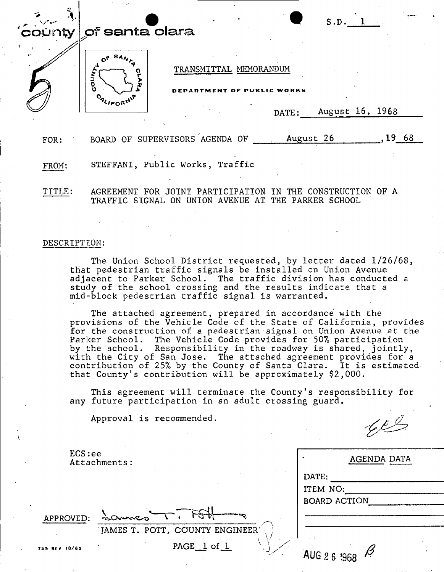| $\left\lfloor \text{colin} \right\rfloor$ of santa clara |  |  |
|----------------------------------------------------------|--|--|
|                                                          |  |  |
|                                                          |  |  |

PARTMENT OF PUBLIC WORKS

DATE: August 16, 1968

 $\sqrt{62}$ 

FOR: BOARD OF SUPERVISORS AGENDA OF  $\frac{19}{100}$  August 26, 19 68

FROM: STEFFANI, Public Works, Traffic

ALIFOR

TITLE: AGREEMENT FOR JOINT PARTICIPATION IN THE CONSTRUCTION OF A TRAFFIC SIGNAL ON UNION AVENUE AT THE PARKER SCHOOL

## DESCRIPTION:

The Union School District requested, by letter dated 1/26/68, that pedestrian traffic signals be installed on Union Avenue adjacent to Parker School. The traffic division has conducted a study of the school crossing and the results indicate that a mid-block pedestrian traffic signal is warranted.

The attached agreement, prepared in accordance with the provisions of the Vehicle Code of the State of California, provides for the construction of a pedestrian signal on Union Avenue at the Parker School. The Vehicle Code provides for 50% participation by the school. Responsibility in the roadway is shared, jointly, with the City of San Jose. The attached agreement provides for a contribution of 25*%* by the County of Santa Clara. It is estimated that County's contribution will be approximately \$2,000.

This agreement will terminate the County's responsibility for any future participation in an adult crossing guard.

Approval is recommended.

| ECS:ee        | Attachments:                    | AGENDA DATA  |  |  |
|---------------|---------------------------------|--------------|--|--|
|               |                                 | DATE:        |  |  |
|               |                                 | ITEM NO:     |  |  |
|               |                                 | BOARD ACTION |  |  |
| APPROVED:     | $\mathcal{L}$<br><b>Browner</b> |              |  |  |
|               | JAMES T. POTT, COUNTY ENGINEER  |              |  |  |
| 755 REV 10/65 | PAGE $1$ of $1$                 | AUG 2 6 1968 |  |  |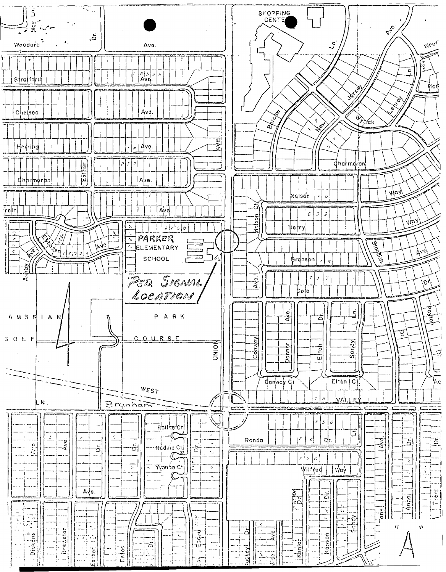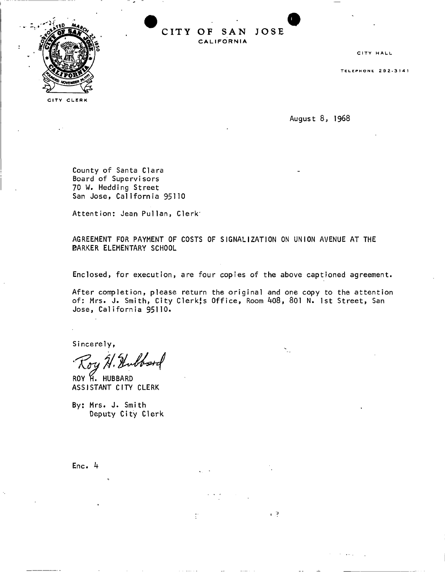

CITY CLERK

**CIT Y O F SA N JOS E CALIFORNIA** 

CITY HALL

TELEPHON E 292-314 1

**August 8 , 1968** 

**County of Santa Clara Board of Supervisors 70 W. Hedding Street**  San Jose, California 95110

**Attention: Jean Pullan, Clerk'** 

**AGREEMENT FOR PAYMENT OF COSTS OF SIGNALIZATION ON UNION AVENUE AT THE BARKER ELEMENTARY SCHOOL** 

**Enclosed, for execution, are four copies of the above captioned agreement.** 

After completion, please return the original and one copy to the attention **of: Mrs. J . Smith, Cit y Clerkj s Office , Room 408, 801 N. 1st Street, San Jose, Californi a 95110.** 

 $\sqrt{2}$ 

 $\ddot{z}$ 

**Sincerely ,** 

Hubbord

ROY H. HUBBARD **ASSISTANT CITY CLERK** 

**By: Mrs. J . Smith Deputy City Clerk** 

**Enc. k**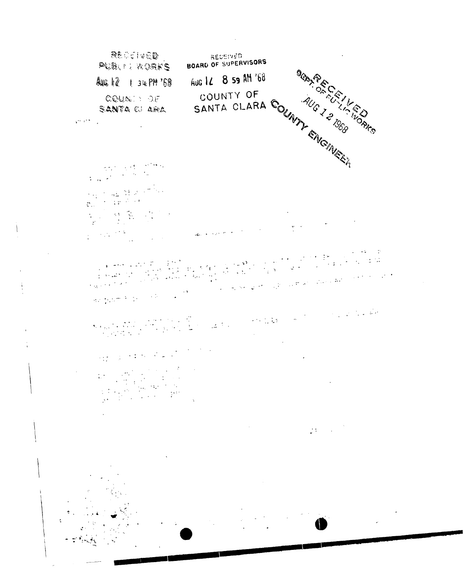

 $\overline{\mathbf{I}}$ 

j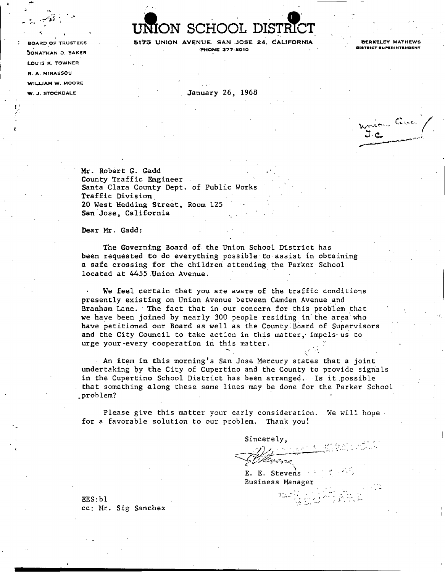DN SCHOOL DISTR

BOARD OF TRUSTEES **SITS UNION AVENUE.** SAN JOSE 24, CALIFORNIA BERKELEY MATHEWS **• PHONE 377-8010**<br> **• PHONE 377-8010** 

W. J. STOCKDALE **ST. A. ST. A. ST. A. ST. A. ST. A. ST. A. ST. A. ST. A. ST. A. ST. A. ST. A. ST. A. ST. A. ST. A. ST. A. ST. A. ST. A. ST. A. ST. A. ST. A. ST. A. ST. A. ST. A. ST. A. ST. A. ST. A. ST. A. ST. A. ST. A. ST** 

JONATHAN D. BAKER Phone is a set of the set of the set of the set of the set of the set of the set of the set of the set of the LOUIS K. TOWNER R. A. MIRASSOU WILLIAM W. MOORE

> Andony Cara 3-c.

Mr. Robert G. Gadd County Traffic Engineer Santa Clara County Dept. of Public Works Traffic Division. 20 West Hedding Street, Room 125 San Jose, California

Dear Mr. Gadd:

The Governing Board of the Union School District has been requested to do everything possible to assist in obtaining a safe crossing for the children attending the Parker School located at 4455 Union Avenue.

We feel certain that you are aware of the traffic conditions presently existing on Union Avenue between Camden Avenue and Branham Lane. • The fact that in our concern for this problem that we have been joined by nearly 300 people residing *in* the area who have petitioned our Board as well as the County Board of Supervisors and the City Council to take action in this matter, impels us to urge your-every cooperation in this matter.

• An item in this morning's San Jose Mercury states that a joint undertaking by the City of Cupertino and the County to provide signals in the Cupertino School District has been arranged. Is it possible that something along these same lines may be done for the Parker School ^problem? - •

Please give this matter your early consideration. We will hope for a favorable solution to our problem. Thank you!

Sincerely,

E. E. Stevens

Business Manager

EES:bl cc: Mr. Sig Sanchez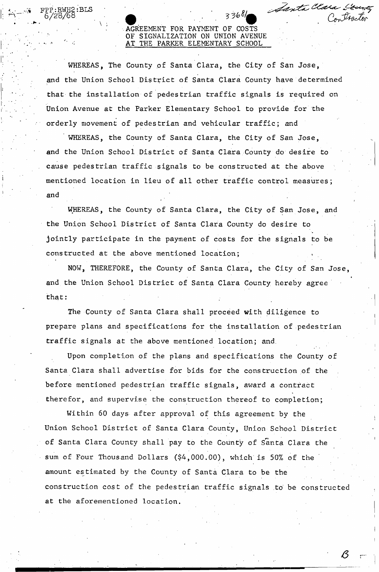## AGREEMENT FOR PAYMENT OF COSTS OF SIGNALIZATION ON UNION AVENUE AT THE PARKER ELEMENTARY SCHOOL

Santa Clara San

WHEREAS, The County of Santa Clara, the City of San Jose, and the Union School District of Santa Clara County have determined that the installation of pedestrian traffic signals is required on Union Avenue at the Parker Elementary School to provide for the orderly movement of pedestrian and vehicular traffic; and

WHEREAS, the County of Santa Clara, the City of San Jose, and the Union School District of Santa Clara County do desire to cause pedestrian traffic signals to be constructed at the above mentioned location in lieu of all other traffic control measures; and

WHEREAS, the County of Santa Clara, the City of San Jose, and the Union School District of Santa Clara County do desire to jointly participate in the payment of costs for the signals to be constructed at the above mentioned location;

NOW, THEREFORE, the County of Santa Clara, the City of San Jose, and the Union School District of Santa Clara County hereby agree that:

The County of Santa Clara shall proceed with diligence to prepare plans and specifications for the installation of pedestrian traffic signals at the above mentioned location; and

Upon completion of the plans and specifications the County of Santa Clara shall advertise for bids for the construction of the before mentioned pedestrian traffic signals, award a contract therefor, and supervise the construction thereof to completion;

Within 60 days after approval of this agreement by the Union School District of Santa Clara County, Union School District of Santa Clara County shall pay to the County of Santa Clara the sum of Four Thousand Dollars (\$4,000.00), which is 50% of the amount estimated by the County of Santa Clara to be the construction cost of the pedestrian traffic signals to be constructed at the aforementioned location.

at the aforementioned location.

*6*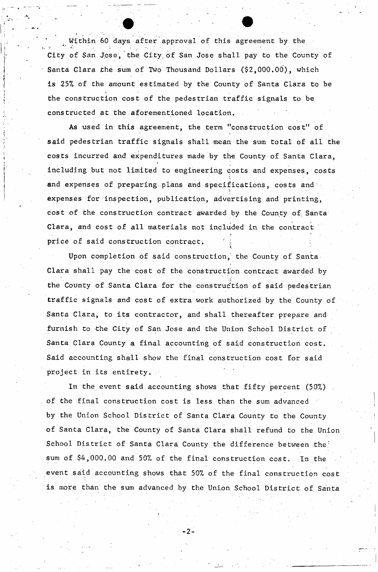Within 60 days after approval of this agreement by the City of San Jose, the City, of San Jose shall pay to the County of Santa Clara the sum of Two Thousand Dollars (\$2,000.00), which is 25% of the amount estimated by the County of Santa Clara to be the construction cost of the pedestrian traffic signals to be constructed at the aforementioned location.

As used in this agreement, the term "construction cost" of said pedestrian traffic signals shall mean the sum total of all the costs incurred and expenditures made by the County of Santa Clara, **i**  including but not limited to engineering costs and expenses, costs and expenses of preparing plans and specifications, costs and expenses for inspection, publication, advertising and printing, cost of the construction contract awarded by the County of Santa Clara, and cost of all materials not included in the contract price of said construction contract,

Upon completion of said construction, the County of Santa Clara shall pay the cost of the construction contract awarded by the County of Santa Clara for the construction of said pedestrian traffic signals and cost of extra work authorized by the County of Santa Clara, to its contractor, and shall thereafter prepare and furnish to the City of San Jose and the Union School District of Santa Clara County a final accounting of said construction cost. Said accounting shall show the final construction cost for said project in its entirety.

In the event said accounting shows that fifty percent (50%). of the final construction cost is less than the sum advanced by the Union School District of Santa Clara County to the County of Santa Clara, the County of Santa Clara shall refund to the Union School District of Santa Clara County the difference between the: sum of \$4,000.00 and 50% of the final construction cost. In the event said accounting shows that 50% of the final construction cost is more than the sum advanced by the Union School District of Santa

• 2 -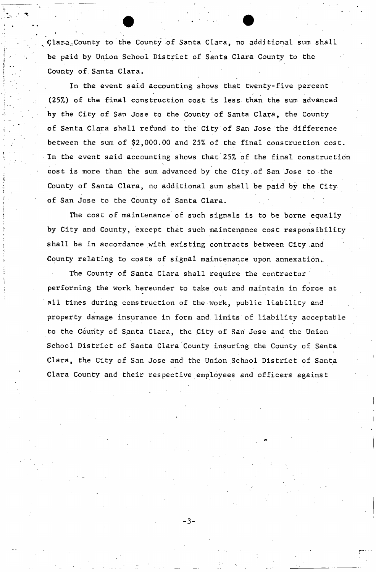plara.-County to the County of Santa Clara, no additional sum shall be paid by Union School District of Santa Clara County to the County of Santa Clara.

In the event said accounting shows that twenty-five percent (25%) of the final construction cost is less than the sum advanced by the City of San Jose to the County of Santa Clara, the County of Santa Clara shall refund to the City of San Jose the difference between the sum of \$2,000.00 and 25% of the final construction cost. In the event said accounting shows that 25% of the final construction cost is more than the sum advanced by the City of San Jose to the County of Santa Clara, no additional sum shall be paid by the City of San Jose to the County of Santa Clara.

The cost of maintenance of such signals is to be borne equally by City and County, except that such maintenance cost responsibility shall be in accordance with existing contracts between City and County relating to costs of signal maintenance upon annexation..

The County of Santa Clara shall require the contractor performing the work hereunder to take out and maintain in force at all times during construction of the work, public liability and property damage insurance in form and limits of liability acceptable to the County of Santa Clara, the City of San Jose and the Union School District of Santa Clara County insuring the County of Santa Clara, the City of San Jose and the Union School District of Santa Clara County and their respective employees and officers against

- 3 -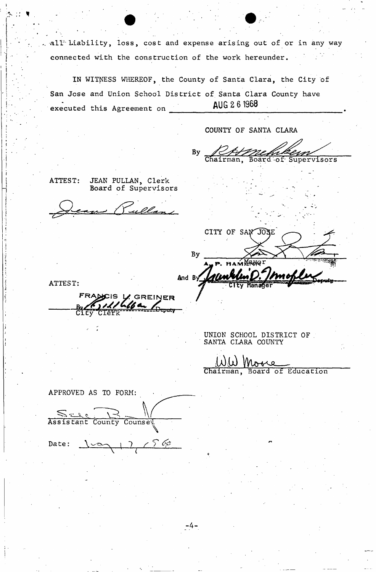all Liability, loss, cost and expense arising out of or in any way connected with the construction of the work hereunder.

**IN** WITNESS WHEREOF, the County of Santa Clara, the City of San Jose and Union School District of Santa Clara County have executed this Agreement on **AUG 2 6 1968** 

- 4 -

COUNTY OF SANTA CLARA

RAme **By** Supervisors

ATTEST: JEAN PULLAN, Clerk Board of Supervisors

ullan

CITY OF SAN JOSE By **HAMAR H And B** 

ATTEST:

FRANCIS V GREINER

UNION SCHOOL DISTRICT OF SANTA CLARA COUNTY

 $M(\omega)$  Mottle Education

APPROVED AS TO FORM: Assistant County Counsel Date:  $\tilde{\mathbb{Z}}$  $1$  (  $2$